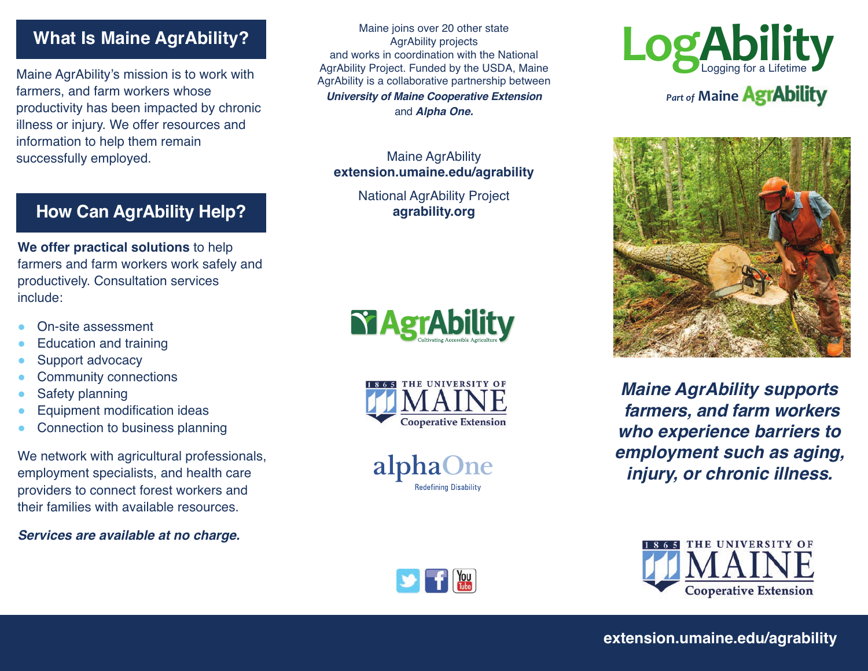# **What Is Maine AgrAbility?**

Maine AgrAbility's mission is to work with farmers, and farm workers whose productivity has been impacted by chronic illness or injury. We offer resources and information to help them remain successfully employed.

# **How Can AgrAbility Help?**

**We offer practical solutions** to help farmers and farm workers work safely and productively. Consultation services include:

- On-site assessment
- Education and training
- Support advocacy
- **Community connections**
- Safety planning
- Equipment modification ideas
- Connection to business planning

We network with agricultural professionals, employment specialists, and health care providers to connect forest workers and their families with available resources.

*Services are available at no charge.*

Maine joins over 20 other state AgrAbility projects and works in coordination with the National AgrAbility Project. Funded by the USDA, Maine AgrAbility is a collaborative partnership between *University of Maine Cooperative Extension*  and *Alpha One.*

Maine AgrAbility **extension.umaine.edu/agrability**

> National AgrAbility Project **agrability.org**





alphaOne **Redefining Disability** 

 $\sum_{\text{true}}$ 





*Maine AgrAbility supports farmers, and farm workers who experience barriers to employment such as aging, injury, or chronic illness.*